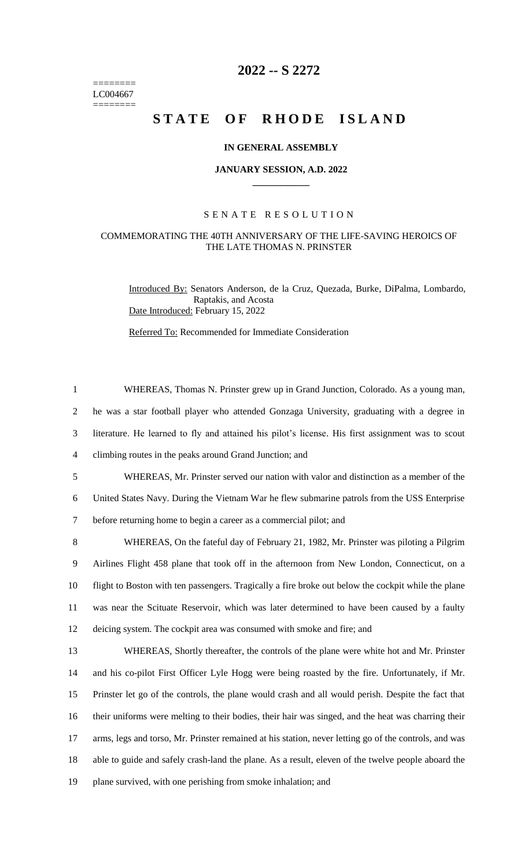======== LC004667  $=$ 

## **2022 -- S 2272**

# STATE OF RHODE ISLAND

#### **IN GENERAL ASSEMBLY**

#### **JANUARY SESSION, A.D. 2022 \_\_\_\_\_\_\_\_\_\_\_\_**

### S E N A T E R E S O L U T I O N

#### COMMEMORATING THE 40TH ANNIVERSARY OF THE LIFE-SAVING HEROICS OF THE LATE THOMAS N. PRINSTER

Introduced By: Senators Anderson, de la Cruz, Quezada, Burke, DiPalma, Lombardo, Raptakis, and Acosta Date Introduced: February 15, 2022

Referred To: Recommended for Immediate Consideration

| $\mathbf{1}$   | WHEREAS, Thomas N. Prinster grew up in Grand Junction, Colorado. As a young man,                      |
|----------------|-------------------------------------------------------------------------------------------------------|
| $\overline{2}$ | he was a star football player who attended Gonzaga University, graduating with a degree in            |
| 3              | literature. He learned to fly and attained his pilot's license. His first assignment was to scout     |
| $\overline{4}$ | climbing routes in the peaks around Grand Junction; and                                               |
| 5              | WHEREAS, Mr. Prinster served our nation with valor and distinction as a member of the                 |
| 6              | United States Navy. During the Vietnam War he flew submarine patrols from the USS Enterprise          |
| $\tau$         | before returning home to begin a career as a commercial pilot; and                                    |
| 8              | WHEREAS, On the fateful day of February 21, 1982, Mr. Prinster was piloting a Pilgrim                 |
| 9              | Airlines Flight 458 plane that took off in the afternoon from New London, Connecticut, on a           |
| 10             | flight to Boston with ten passengers. Tragically a fire broke out below the cockpit while the plane   |
| 11             | was near the Scituate Reservoir, which was later determined to have been caused by a faulty           |
| 12             | deicing system. The cockpit area was consumed with smoke and fire; and                                |
| 13             | WHEREAS, Shortly thereafter, the controls of the plane were white hot and Mr. Prinster                |
| 14             | and his co-pilot First Officer Lyle Hogg were being roasted by the fire. Unfortunately, if Mr.        |
| 15             | Prinster let go of the controls, the plane would crash and all would perish. Despite the fact that    |
| 16             | their uniforms were melting to their bodies, their hair was singed, and the heat was charring their   |
| 17             | arms, legs and torso, Mr. Prinster remained at his station, never letting go of the controls, and was |
| 18             | able to guide and safely crash-land the plane. As a result, eleven of the twelve people aboard the    |
| 19             | plane survived, with one perishing from smoke inhalation; and                                         |